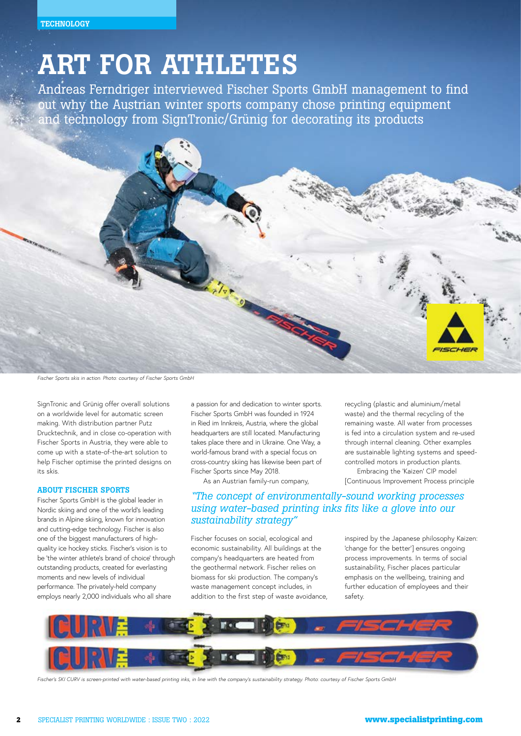# ART FOR ATHLETES

Andreas Ferndriger interviewed Fischer Sports GmbH management to find out why the Austrian winter sports company chose printing equipment and technology from SignTronic/Grünig for decorating its products



*Fischer Sports skis in action. Photo: courtesy of Fischer Sports GmbH*

SignTronic and Grünig offer overall solutions on a worldwide level for automatic screen making. With distribution partner Putz Drucktechnik, and in close co-operation with Fischer Sports in Austria, they were able to come up with a state-of-the-art solution to help Fischer optimise the printed designs on its skis.

#### ABOUT FISCHER SPORTS

Fischer Sports GmbH is the global leader in Nordic skiing and one of the world's leading brands in Alpine skiing, known for innovation and cutting-edge technology. Fischer is also one of the biggest manufacturers of highquality ice hockey sticks. Fischer's vision is to be 'the winter athlete's brand of choice' through outstanding products, created for everlasting moments and new levels of individual performance. The privately-held company employs nearly 2,000 individuals who all share

a passion for and dedication to winter sports. Fischer Sports GmbH was founded in 1924 in Ried im Innkreis, Austria, where the global headquarters are still located. Manufacturing takes place there and in Ukraine. One Way, a world-famous brand with a special focus on cross-country skiing has likewise been part of Fischer Sports since May 2018.

# As an Austrian family-run company, [Continuous Improvement Process principle *"The concept of environmentally-sound working processes using water-based printing inks fits like a glove into our sustainability strategy"*

Fischer focuses on social, ecological and economic sustainability. All buildings at the company's headquarters are heated from the geothermal network. Fischer relies on biomass for ski production. The company's waste management concept includes, in addition to the first step of waste avoidance,

inspired by the Japanese philosophy Kaizen: 'change for the better'] ensures ongoing process improvements. In terms of social sustainability, Fischer places particular emphasis on the wellbeing, training and further education of employees and their safety.

recycling (plastic and aluminium/metal waste) and the thermal recycling of the remaining waste. All water from processes is fed into a circulation system and re-used through internal cleaning. Other examples are sustainable lighting systems and speedcontrolled motors in production plants. Embracing the 'Kaizen' CIP model



*Fischer's SKI CURV is screen-printed with water-based printing inks, in line with the company's sustainability strategy. Photo: courtesy of Fischer Sports GmbH*